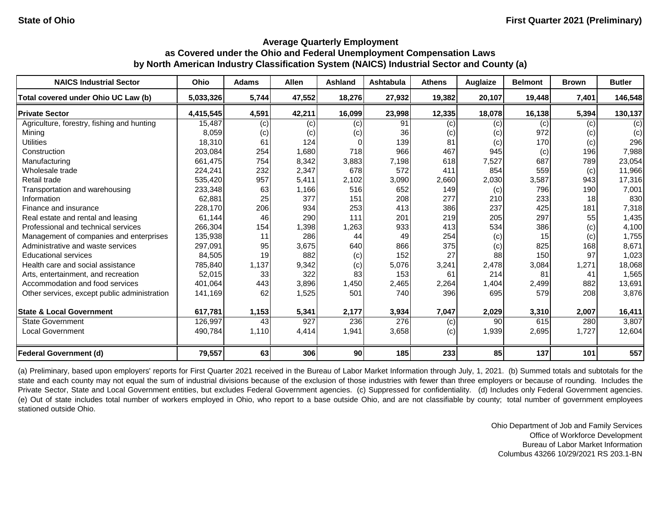| <b>NAICS Industrial Sector</b>               | Ohio      | <b>Adams</b> | <b>Allen</b> | Ashland | Ashtabula | <b>Athens</b> | Auglaize | <b>Belmont</b>  | <b>Brown</b> | <b>Butler</b> |
|----------------------------------------------|-----------|--------------|--------------|---------|-----------|---------------|----------|-----------------|--------------|---------------|
| Total covered under Ohio UC Law (b)          | 5,033,326 | 5,744        | 47,552       | 18,276  | 27,932    | 19,382        | 20,107   | 19,448          | 7,401        | 146,548       |
| <b>Private Sector</b>                        | 4,415,545 | 4,591        | 42,211       | 16,099  | 23,998    | 12,335        | 18,078   | 16,138          | 5,394        | 130,137       |
| Agriculture, forestry, fishing and hunting   | 15,487    | (c)          | (c)          | (c)     | 91        | (c)           | (c)      | (c)             | (c)          | (c)           |
| Mining                                       | 8,059     | (c)          | (c)          | (c)     | 36        | (c)           | (c)      | 972             | (c)          | (c)           |
| <b>Utilities</b>                             | 18,310    | 61           | 124          |         | 139       | 81            | (c)      | 170             | (c)          | 296           |
| Construction                                 | 203,084   | 254          | 1.680        | 718     | 966       | 467           | 945      | (c)             | 196          | 7,988         |
| Manufacturing                                | 661,475   | 754          | 8,342        | 3,883   | 7,198     | 618           | 7,527    | 687             | 789          | 23,054        |
| Wholesale trade                              | 224,241   | 232          | 2,347        | 678     | 572       | 411           | 854      | 559             | (c)          | 11,966        |
| Retail trade                                 | 535,420   | 957          | 5,411        | 2,102   | 3,090     | 2,660         | 2,030    | 3,587           | 943          | 17,316        |
| Transportation and warehousing               | 233,348   | 63           | 1.166        | 516     | 652       | 149           | (c)      | 796             | 190          | 7,001         |
| Information                                  | 62,881    | 25           | 377          | 151     | 208       | 277           | 210      | 233             | 18           | 830           |
| Finance and insurance                        | 228,170   | 206          | 934          | 253     | 413       | 386           | 237      | 425             | 181          | 7,318         |
| Real estate and rental and leasing           | 61,144    | 46           | 290          | 111     | 201       | 219           | 205      | 297             | 55           | 1,435         |
| Professional and technical services          | 266,304   | 154          | 1,398        | 1,263   | 933       | 413           | 534      | 386             | (c)          | 4,100         |
| Management of companies and enterprises      | 135,938   | 11           | 286          | 44      | 49        | 254           | (c)      | 15 <sup>1</sup> | (c)          | 1,755         |
| Administrative and waste services            | 297,091   | 95           | 3,675        | 640     | 866       | 375           | (c)      | 825             | 168          | 8,671         |
| <b>Educational services</b>                  | 84,505    | 19           | 882          | (c)     | 152       | 27            | 88       | 150             | 97           | 1,023         |
| Health care and social assistance            | 785,840   | 1,137        | 9,342        | (c)     | 5,076     | 3,241         | 2,478    | 3,084           | 1,271        | 18,068        |
| Arts, entertainment, and recreation          | 52,015    | 33           | 322          | 83      | 153       | 61            | 214      | 81              | 41           | 1,565         |
| Accommodation and food services              | 401,064   | 443          | 3,896        | 1,450   | 2,465     | 2,264         | 1,404    | 2,499           | 882          | 13,691        |
| Other services, except public administration | 141,169   | 62           | 1,525        | 501     | 740       | 396           | 695      | 579             | 208          | 3,876         |
| <b>State &amp; Local Government</b>          | 617,781   | 1,153        | 5,341        | 2,177   | 3,934     | 7,047         | 2,029    | 3,310           | 2,007        | 16,411        |
| <b>State Government</b>                      | 126,997   | 43           | 927          | 236     | 276       | (c)           | 90       | 615             | 280          | 3,807         |
| <b>Local Government</b>                      | 490,784   | 1,110        | 4,414        | 1,941   | 3,658     | (c)           | 1,939    | 2,695           | 1,727        | 12,604        |
| <b>Federal Government (d)</b>                | 79,557    | 63           | 306          | 90      | 185       | 233           | 85       | 137             | 101          | 557           |

(a) Preliminary, based upon employers' reports for First Quarter 2021 received in the Bureau of Labor Market Information through July, 1, 2021. (b) Summed totals and subtotals for the state and each county may not equal the sum of industrial divisions because of the exclusion of those industries with fewer than three employers or because of rounding. Includes the Private Sector, State and Local Government entities, but excludes Federal Government agencies. (c) Suppressed for confidentiality. (d) Includes only Federal Government agencies. (e) Out of state includes total number of workers employed in Ohio, who report to a base outside Ohio, and are not classifiable by county; total number of government employees stationed outside Ohio.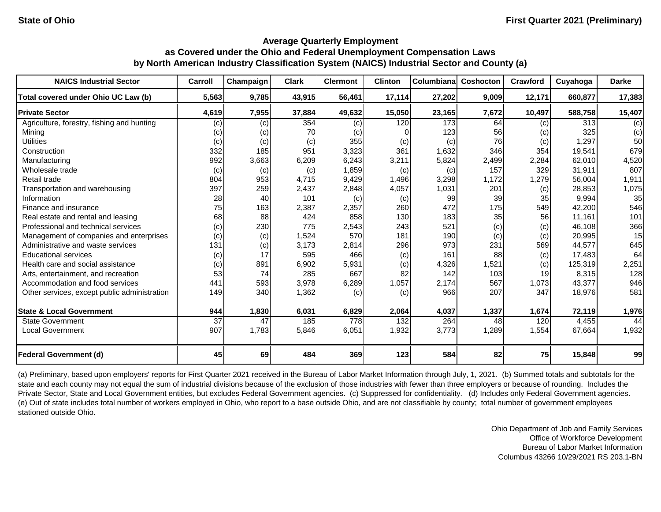| <b>NAICS Industrial Sector</b>               | Carroll         | Champaign | <b>Clark</b> | <b>Clermont</b> | <b>Clinton</b> | <b>Columbiana</b> | <b>Coshocton</b> | <b>Crawford</b> | Cuyahoga | <b>Darke</b> |
|----------------------------------------------|-----------------|-----------|--------------|-----------------|----------------|-------------------|------------------|-----------------|----------|--------------|
| Total covered under Ohio UC Law (b)          | 5,563           | 9,785     | 43,915       | 56,461          | 17,114         | 27,202            | 9,009            | 12,171          | 660,877  | 17,383       |
| <b>Private Sector</b>                        | 4,619           | 7,955     | 37,884       | 49,632          | 15,050         | 23,165            | 7,672            | 10,497          | 588,758  | 15,407       |
| Agriculture, forestry, fishing and hunting   | (c)             | (c)       | 354          | (c)             | 120            | 173               | 64               | (c)             | 313      | (c)          |
| Mining                                       | (c)             | (c)       | 70           | (c)             |                | 123               | 56               | (c)             | 325      | (c)          |
| <b>Utilities</b>                             | (c)             | (c)       | (c)          | 355             | (c)            | (c)               | 76               | (c)             | 1,297    | 50           |
| Construction                                 | 332             | 185       | 951          | 3,323           | 361            | 1,632             | 346              | 354             | 19,541   | 679          |
| Manufacturing                                | 992             | 3,663     | 6,209        | 6,243           | 3,211          | 5,824             | 2,499            | 2,284           | 62,010   | 4,520        |
| Wholesale trade                              | (c)             | (c)       | (c)          | 1,859           | (c)            | (c)               | 157              | 329             | 31,911   | 807          |
| Retail trade                                 | 804             | 953       | 4,715        | 9,429           | 1,496          | 3,298             | 1,172            | 1,279           | 56,004   | 1,911        |
| Transportation and warehousing               | 397             | 259       | 2,437        | 2,848           | 4,057          | 1,031             | 201              | (c)             | 28,853   | 1,075        |
| Information                                  | 28              | 40        | 101          | (c)             | (c)            | 99                | 39               | 35              | 9,994    | 35           |
| Finance and insurance                        | 75              | 163       | 2,387        | 2,357           | 260            | 472               | 175              | 549             | 42,200   | 546          |
| Real estate and rental and leasing           | 68              | 88        | 424          | 858             | 130            | 183               | 35               | 56              | 11.161   | 101          |
| Professional and technical services          | (c)             | 230       | 775          | 2,543           | 243            | 521               | (c)              | (c)             | 46,108   | 366          |
| Management of companies and enterprises      | (c)             | (c)       | 1,524        | 570             | 181            | 190               | (c)              | (c)             | 20,995   | 15           |
| Administrative and waste services            | 131             | (c)       | 3,173        | 2,814           | 296            | 973               | 231              | 569             | 44,577   | 645          |
| <b>Educational services</b>                  | (c)             | 17        | 595          | 466             | (c)            | 161               | 88               | (c)             | 17,483   | 64           |
| Health care and social assistance            | (c)             | 891       | 6,902        | 5,931           | (c)            | 4,326             | 1,521            | (c)             | 125,319  | 2,251        |
| Arts, entertainment, and recreation          | 53              | 74        | 285          | 667             | 82             | 142               | 103              | 19              | 8,315    | 128          |
| Accommodation and food services              | 441             | 593       | 3,978        | 6,289           | 1,057          | 2,174             | 567              | 1,073           | 43,377   | 946          |
| Other services, except public administration | 149             | 340       | 1,362        | (c)             | (c)            | 966               | 207              | 347             | 18,976   | 581          |
| <b>State &amp; Local Government</b>          | 944             | 1,830     | 6,031        | 6,829           | 2,064          | 4,037             | 1,337            | 1,674           | 72,119   | 1,976        |
| <b>State Government</b>                      | $\overline{37}$ | 47        | 185          | 778             | 132            | 264               | 48               | 120             | 4,455    | 44           |
| <b>Local Government</b>                      | 907             | 1,783     | 5,846        | 6,051           | 1,932          | 3,773             | 1,289            | 1,554           | 67,664   | 1,932        |
| <b>Federal Government (d)</b>                | 45              | 69        | 484          | 369             | 123            | 584               | 82               | 75              | 15,848   | 99           |

(a) Preliminary, based upon employers' reports for First Quarter 2021 received in the Bureau of Labor Market Information through July, 1, 2021. (b) Summed totals and subtotals for the state and each county may not equal the sum of industrial divisions because of the exclusion of those industries with fewer than three employers or because of rounding. Includes the Private Sector, State and Local Government entities, but excludes Federal Government agencies. (c) Suppressed for confidentiality. (d) Includes only Federal Government agencies. (e) Out of state includes total number of workers employed in Ohio, who report to a base outside Ohio, and are not classifiable by county; total number of government employees stationed outside Ohio.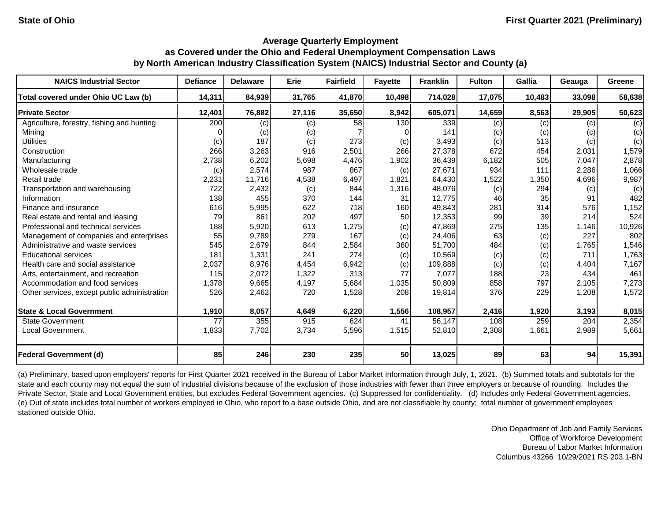| <b>NAICS Industrial Sector</b>               | <b>Defiance</b> | <b>Delaware</b> | Erie   | <b>Fairfield</b> | <b>Fayette</b> | <b>Franklin</b> | <b>Fulton</b> | Gallia | Geauga | Greene |
|----------------------------------------------|-----------------|-----------------|--------|------------------|----------------|-----------------|---------------|--------|--------|--------|
| Total covered under Ohio UC Law (b)          | 14,311          | 84,939          | 31,765 | 41,870           | 10,498         | 714,028         | 17,075        | 10,483 | 33,098 | 58,638 |
| <b>Private Sector</b>                        | 12,401          | 76,882          | 27,116 | 35,650           | 8,942          | 605,071         | 14,659        | 8,563  | 29,905 | 50,623 |
| Agriculture, forestry, fishing and hunting   | 200             | (c)             | (c)    | 58               | 130            | 339             | (c)           | (c)    | (c)    | (c)    |
| Mining                                       |                 | (c)             | (c)    |                  |                | 141             | (c)           | (c)    | (c)    | (c)    |
| <b>Utilities</b>                             | (c)             | 187             | (c)    | 273              | (c)            | 3,493           | (c)           | 513    | (c)    | (c)    |
| Construction                                 | 266             | 3,263           | 916    | 2,501            | 266            | 27,378          | 672           | 454    | 2,031  | 1,579  |
| Manufacturing                                | 2,738           | 6,202           | 5,698  | 4,476            | 1,902          | 36,439          | 6,182         | 505    | 7,047  | 2,878  |
| Wholesale trade                              | (c)             | 2,574           | 987    | 867              | (c)            | 27,671          | 934           | 111    | 2,286  | 1,066  |
| Retail trade                                 | 2,231           | 11,716          | 4,538  | 6,497            | 1,821          | 64,430          | 1,522         | 1,350  | 4,696  | 9,987  |
| Transportation and warehousing               | 722             | 2,432           | (c)    | 844              | 1,316          | 48,076          | (c)           | 294    | (c)    | (c)    |
| Information                                  | 138             | 455             | 370    | 144              | 31             | 12,775          | 46            | 35     | 91     | 482    |
| Finance and insurance                        | 616             | 5,995           | 622    | 718              | 160            | 49,843          | 281           | 314    | 576    | 1,152  |
| Real estate and rental and leasing           | 79              | 861             | 202    | 497              | 50             | 12,353          | 99            | 39     | 214    | 524    |
| Professional and technical services          | 188             | 5,920           | 613    | 1,275            | (c)            | 47,869          | 275           | 135    | 1,146  | 10,926 |
| Management of companies and enterprises      | 55              | 9,789           | 279    | 167              | (c)            | 24,406          | 63            | (c)    | 227    | 802    |
| Administrative and waste services            | 545             | 2,679           | 844    | 2,584            | 360            | 51,700          | 484           | (c)    | 1,765  | 1,546  |
| <b>Educational services</b>                  | 181             | 1,331           | 241    | 274              | (c)            | 10,569          | (c)           | (c)    | 711    | 1,763  |
| Health care and social assistance            | 2,037           | 8,976           | 4,454  | 6,942            | (c)            | 109,888         | (c)           | (c)    | 4,404  | 7,167  |
| Arts, entertainment, and recreation          | 115             | 2,072           | 1,322  | 313              | 77             | 7,077           | 188           | 23     | 434    | 461    |
| Accommodation and food services              | 1,378           | 9,665           | 4,197  | 5,684            | 1,035          | 50,809          | 858           | 797    | 2,105  | 7,273  |
| Other services, except public administration | 526             | 2,462           | 720    | 1,528            | 208            | 19,814          | 376           | 229    | 1,208  | 1,572  |
| <b>State &amp; Local Government</b>          | 1,910           | 8,057           | 4,649  | 6,220            | 1,556          | 108,957         | 2,416         | 1,920  | 3,193  | 8,015  |
| <b>State Government</b>                      | 77              | 355             | 915    | 624              | 41             | 56,147          | 108           | 259    | 204    | 2,354  |
| <b>Local Government</b>                      | 1,833           | 7,702           | 3,734  | 5,596            | 1,515          | 52,810          | 2,308         | 1,661  | 2,989  | 5,661  |
| <b>Federal Government (d)</b>                | 85              | 246             | 230    | 235              | 50             | 13,025          | 89            | 63     | 94     | 15,391 |

(a) Preliminary, based upon employers' reports for First Quarter 2021 received in the Bureau of Labor Market Information through July, 1, 2021. (b) Summed totals and subtotals for the state and each county may not equal the sum of industrial divisions because of the exclusion of those industries with fewer than three employers or because of rounding. Includes the Private Sector, State and Local Government entities, but excludes Federal Government agencies. (c) Suppressed for confidentiality. (d) Includes only Federal Government agencies. (e) Out of state includes total number of workers employed in Ohio, who report to a base outside Ohio, and are not classifiable by county; total number of government employees stationed outside Ohio.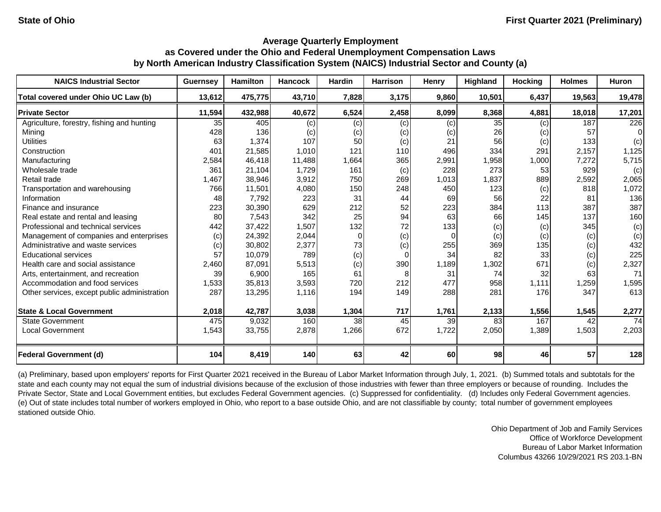| <b>NAICS Industrial Sector</b>               | <b>Guernsey</b> | <b>Hamilton</b> | <b>Hancock</b> | <b>Hardin</b> | <b>Harrison</b> | Henry     | Highland | <b>Hocking</b> | <b>Holmes</b> | Huron  |
|----------------------------------------------|-----------------|-----------------|----------------|---------------|-----------------|-----------|----------|----------------|---------------|--------|
| Total covered under Ohio UC Law (b)          | 13,612          | 475,775         | 43,710         | 7,828         | 3,175           | 9,860     | 10,501   | 6,437          | 19,563        | 19,478 |
| <b>Private Sector</b>                        | 11,594          | 432,988         | 40,672         | 6,524         | 2,458           | 8,099     | 8,368    | 4,881          | 18,018        | 17,201 |
| Agriculture, forestry, fishing and hunting   | 35              | 405             | (c)            | (c)           | (c)             | (c)       | 35       | (c)            | 187           | 226    |
| Mining                                       | 428             | 136             | (c)            | (c)           | (c)             | (c)       | 26       | (c)            | 57            | 0      |
| <b>Utilities</b>                             | 63              | 1,374           | 107            | 50            | (c)             | 21        | 56       | (c)            | 133           | (c)    |
| Construction                                 | 401             | 21,585          | 1,010          | 121           | 110             | 496       | 334      | 291            | 2,157         | 1,125  |
| Manufacturing                                | 2,584           | 46,418          | 11,488         | 1,664         | 365             | 2,991     | 1,958    | 1,000          | 7,272         | 5,715  |
| Wholesale trade                              | 361             | 21,104          | 1,729          | 161           | (c)             | 228       | 273      | 53             | 929           | (c)    |
| Retail trade                                 | 1,467           | 38,946          | 3,912          | 750           | 269             | 1,013     | 1,837    | 889            | 2,592         | 2,065  |
| Transportation and warehousing               | 766             | 11,501          | 4,080          | 150           | 248             | 450       | 123      | (c)            | 818           | 1,072  |
| Information                                  | 48              | 7.792           | 223            | 31            | 44              | 69        | 56       | 22             | 81            | 136    |
| Finance and insurance                        | 223             | 30,390          | 629            | 212           | 52              | 223       | 384      | $113$          | 387           | 387    |
| Real estate and rental and leasing           | 80              | 7,543           | 342            | 25            | 94              | 63        | 66       | 145            | 137           | 160    |
| Professional and technical services          | 442             | 37,422          | 1,507          | 132           | 72              | 133       | (c)      | (c)            | 345           | (c)    |
| Management of companies and enterprises      | (c)             | 24,392          | 2,044          | 0             | (c)             | $\Omega$  | (c)      | (c)            | (c)           | (c)    |
| Administrative and waste services            | (c)             | 30,802          | 2,377          | 73            | (c)             | 255       | 369      | 135            | (c)           | 432    |
| <b>Educational services</b>                  | 57              | 10,079          | 789            | (c)           | 0               | 34        | 82       | 33             | (c)           | 225    |
| Health care and social assistance            | 2.460           | 87,091          | 5,513          | (c)           | 390             | 1,189     | 1,302    | 671            | (c)           | 2,327  |
| Arts, entertainment, and recreation          | 39              | 6,900           | 165            | 61            | 8               | 31        | 74       | 32             | 63            | 71     |
| Accommodation and food services              | 1,533           | 35,813          | 3,593          | 720           | 212             | 477       | 958      | 1,111          | 1,259         | 1,595  |
| Other services, except public administration | 287             | 13,295          | 1,116          | 194           | 149             | 288       | 281      | 176            | 347           | 613    |
| <b>State &amp; Local Government</b>          | 2,018           | 42,787          | 3,038          | 1,304         | 717             | 1,761     | 2,133    | 1,556          | 1,545         | 2,277  |
| <b>State Government</b>                      | 475             | 9,032           | 160            | 38            | 45              | 39        | 83       | 167            | 42            | 74     |
| Local Government                             | 1,543           | 33,755          | 2,878          | 1,266         | 672             | 1,722     | 2,050    | 1,389          | 1,503         | 2,203  |
| <b>Federal Government (d)</b>                | 104             | 8,419           | 140            | 63            | 42              | <b>60</b> | 98       | 46             | 57            | 128    |

(a) Preliminary, based upon employers' reports for First Quarter 2021 received in the Bureau of Labor Market Information through July, 1, 2021. (b) Summed totals and subtotals for the state and each county may not equal the sum of industrial divisions because of the exclusion of those industries with fewer than three employers or because of rounding. Includes the Private Sector, State and Local Government entities, but excludes Federal Government agencies. (c) Suppressed for confidentiality. (d) Includes only Federal Government agencies. (e) Out of state includes total number of workers employed in Ohio, who report to a base outside Ohio, and are not classifiable by county; total number of government employees stationed outside Ohio.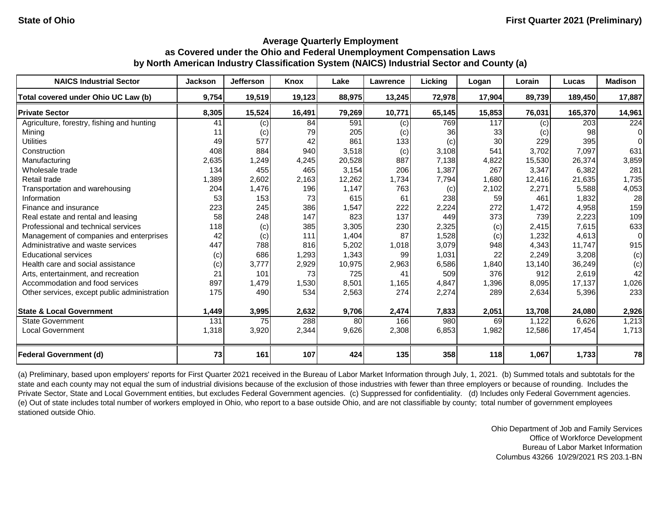| <b>NAICS Industrial Sector</b>               | <b>Jackson</b> | <b>Jefferson</b> | Knox   | Lake   | Lawrence | Licking | Logan  | Lorain | Lucas   | <b>Madison</b> |
|----------------------------------------------|----------------|------------------|--------|--------|----------|---------|--------|--------|---------|----------------|
| Total covered under Ohio UC Law (b)          | 9,754          | 19,519           | 19,123 | 88,975 | 13,245   | 72,978  | 17,904 | 89,739 | 189,450 | 17,887         |
| <b>Private Sector</b>                        | 8,305          | 15,524           | 16,491 | 79,269 | 10,771   | 65,145  | 15,853 | 76,031 | 165,370 | 14,961         |
| Agriculture, forestry, fishing and hunting   | 41             | (c)              | 84     | 591    | (c)      | 769     | 117    | (c)    | 203     | 224            |
| Mining                                       | 11             | (c)              | 79     | 205    | (c)      | 36      | 33     | (c)    | 98      | $\Omega$       |
| <b>Utilities</b>                             | 49             | 577              | 42     | 861    | 133      | (c)     | 30     | 229    | 395     |                |
| Construction                                 | 408            | 884              | 940    | 3,518  | (c)      | 3,108   | 541    | 3,702  | 7,097   | 631            |
| Manufacturing                                | 2,635          | 1,249            | 4,245  | 20,528 | 887      | 7,138   | 4,822  | 15,530 | 26,374  | 3,859          |
| Wholesale trade                              | 134            | 455              | 465    | 3,154  | 206      | 1,387   | 267    | 3,347  | 6,382   | 281            |
| Retail trade                                 | 1,389          | 2,602            | 2,163  | 12,262 | 1,734    | 7,794   | 1,680  | 12,416 | 21,635  | 1,735          |
| Transportation and warehousing               | 204            | 1,476            | 196    | 1,147  | 763      | (c)     | 2,102  | 2,271  | 5,588   | 4,053          |
| Information                                  | 53             | 153              | 73     | 615    | 61       | 238     | 59     | 461    | 1,832   | 28             |
| Finance and insurance                        | 223            | 245              | 386    | 1,547  | 222      | 2,224   | 272    | 1,472  | 4,958   | 159            |
| Real estate and rental and leasing           | 58             | 248              | 147    | 823    | 137      | 449     | 373    | 739    | 2,223   | 109            |
| Professional and technical services          | 118            | (c)              | 385    | 3,305  | 230      | 2,325   | (c)    | 2,415  | 7,615   | 633            |
| Management of companies and enterprises      | 42             | (c)              | 111    | 1,404  | 87       | 1,528   | (c)    | 1,232  | 4,613   | 0              |
| Administrative and waste services            | 447            | 788              | 816    | 5,202  | 1,018    | 3,079   | 948    | 4,343  | 11.747  | 915            |
| <b>Educational services</b>                  | (c)            | 686              | 1,293  | 1,343  | 99       | 1,031   | 22     | 2,249  | 3,208   | (c)            |
| Health care and social assistance            | (c)            | 3,777            | 2,929  | 10,975 | 2,963    | 6,586   | 1,840  | 13,140 | 36,249  | (c)            |
| Arts, entertainment, and recreation          | 21             | 101              | 73     | 725    | 41       | 509     | 376    | 912    | 2,619   | 42             |
| Accommodation and food services              | 897            | 1,479            | 1,530  | 8,501  | 1,165    | 4,847   | 1,396  | 8,095  | 17,137  | 1,026          |
| Other services, except public administration | 175            | 490              | 534    | 2,563  | 274      | 2,274   | 289    | 2,634  | 5,396   | 233            |
| <b>State &amp; Local Government</b>          | 1,449          | 3,995            | 2,632  | 9,706  | 2,474    | 7,833   | 2,051  | 13,708 | 24,080  | 2,926          |
| <b>State Government</b>                      | 131            | 75               | 288    | 80     | 166      | 980     | 69     | 1.122  | 6,626   | 1,213          |
| Local Government                             | 1,318          | 3,920            | 2,344  | 9,626  | 2,308    | 6,853   | 1,982  | 12,586 | 17,454  | 1,713          |
| <b>Federal Government (d)</b>                | 73             | 161              | 107    | 424    | 135      | 358     | 118    | 1,067  | 1,733   | 78             |

(a) Preliminary, based upon employers' reports for First Quarter 2021 received in the Bureau of Labor Market Information through July, 1, 2021. (b) Summed totals and subtotals for the state and each county may not equal the sum of industrial divisions because of the exclusion of those industries with fewer than three employers or because of rounding. Includes the Private Sector, State and Local Government entities, but excludes Federal Government agencies. (c) Suppressed for confidentiality. (d) Includes only Federal Government agencies. (e) Out of state includes total number of workers employed in Ohio, who report to a base outside Ohio, and are not classifiable by county; total number of government employees stationed outside Ohio.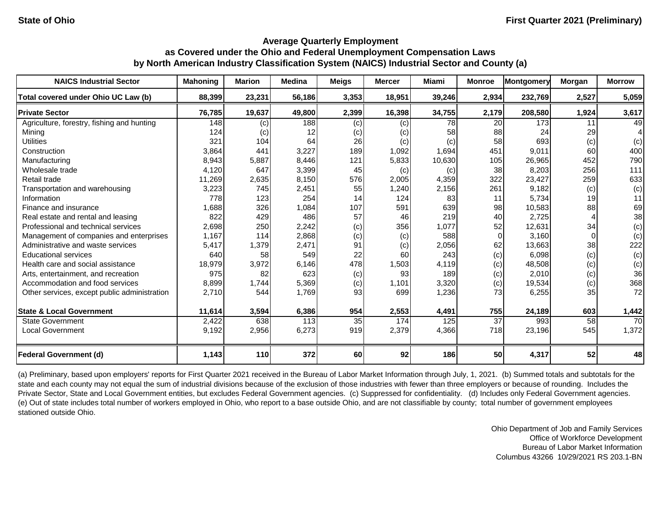| <b>NAICS Industrial Sector</b>               | <b>Mahoning</b> | <b>Marion</b>     | <b>Medina</b> | <b>Meigs</b> | <b>Mercer</b> | Miami  | <b>Monroe</b> | <b>Montgomery</b> | Morgan | <b>Morrow</b> |
|----------------------------------------------|-----------------|-------------------|---------------|--------------|---------------|--------|---------------|-------------------|--------|---------------|
| Total covered under Ohio UC Law (b)          | 88,399          | 23,231            | 56,186        | 3,353        | 18,951        | 39,246 | 2,934         | 232,769           | 2,527  | 5,059         |
| <b>Private Sector</b>                        | 76,785          | 19,637            | 49,800        | 2,399        | 16,398        | 34,755 | 2,179         | 208,580           | 1,924  | 3,617         |
| Agriculture, forestry, fishing and hunting   | 148             | $\left( $         | 188           | (c)          | (c)           | 78     | 20            | 173               | 11     | 49            |
| Mining                                       | 124             | $\left( c\right)$ | 12            | (c)          | (c)           | 58     | 88            | 24                | 29     |               |
| <b>Utilities</b>                             | 321             | 104               | 64            | 26           | (c)           | (c)    | 58            | 693               | (c)    | (c)           |
| Construction                                 | 3,864           | 441               | 3,227         | 189          | 1,092         | 1,694  | 451           | 9.011             | 60     | 400           |
| Manufacturing                                | 8,943           | 5,887             | 8,446         | 121          | 5,833         | 10,630 | 105           | 26,965            | 452    | 790           |
| Wholesale trade                              | 4,120           | 647               | 3,399         | 45           | (c)           | (c)    | 38            | 8,203             | 256    | 111           |
| Retail trade                                 | 11,269          | 2,635             | 8,150         | 576          | 2,005         | 4,359  | 322           | 23,427            | 259    | 633           |
| Transportation and warehousing               | 3,223           | 745               | 2,451         | 55           | 1,240         | 2,156  | 261           | 9,182             | (c)    | (c)           |
| Information                                  | 778             | 123               | 254           | 14           | 124           | 83     | 11            | 5,734             | 19     | 11            |
| Finance and insurance                        | 1,688           | 326               | 1,084         | 107          | 591           | 639    | 98            | 10,583            | 88     | 69            |
| Real estate and rental and leasing           | 822             | 429               | 486           | 57           | 46            | 219    | 40            | 2,725             |        | 38            |
| Professional and technical services          | 2,698           | 250               | 2,242         | (c)          | 356           | 1,077  | 52            | 12,631            | 34     | (c)           |
| Management of companies and enterprises      | 1,167           | 114               | 2,868         | (c)          | (c)           | 588    | $\Omega$      | 3,160             |        | (c)           |
| Administrative and waste services            | 5,417           | 1,379             | 2,471         | 91           | (c)           | 2,056  | 62            | 13,663            | 38     | 222           |
| <b>Educational services</b>                  | 640             | 58                | 549           | 22           | 60            | 243    | (c)           | 6,098             | (c)    | (c)           |
| Health care and social assistance            | 18,979          | 3,972             | 6,146         | 478          | 1,503         | 4,119  | (c)           | 48,508            | (c)    | (c)           |
| Arts, entertainment, and recreation          | 975             | 82                | 623           | (c)          | 93            | 189    | (c)           | 2,010             | (c)    | 36            |
| Accommodation and food services              | 8,899           | 1,744             | 5,369         | (c)          | 1,101         | 3,320  | (c)           | 19,534            | (c)    | 368           |
| Other services, except public administration | 2,710           | 544               | 1,769         | 93           | 699           | 1,236  | 73            | 6,255             | 35     | 72            |
| <b>State &amp; Local Government</b>          | 11,614          | 3,594             | 6,386         | 954          | 2,553         | 4,491  | 755           | 24,189            | 603    | 1,442         |
| <b>State Government</b>                      | 2,422           | 638               | 113           | 35           | 174           | 125    | 37            | 993               | 58     | 70            |
| Local Government                             | 9,192           | 2,956             | 6,273         | 919          | 2,379         | 4,366  | 718           | 23,196            | 545    | 1,372         |
| <b>Federal Government (d)</b>                | 1,143           | 110               | 372           | 60           | 92            | 186    | 50            | 4,317             | 52     | 48            |

(a) Preliminary, based upon employers' reports for First Quarter 2021 received in the Bureau of Labor Market Information through July, 1, 2021. (b) Summed totals and subtotals for the state and each county may not equal the sum of industrial divisions because of the exclusion of those industries with fewer than three employers or because of rounding. Includes the Private Sector, State and Local Government entities, but excludes Federal Government agencies. (c) Suppressed for confidentiality. (d) Includes only Federal Government agencies. (e) Out of state includes total number of workers employed in Ohio, who report to a base outside Ohio, and are not classifiable by county; total number of government employees stationed outside Ohio.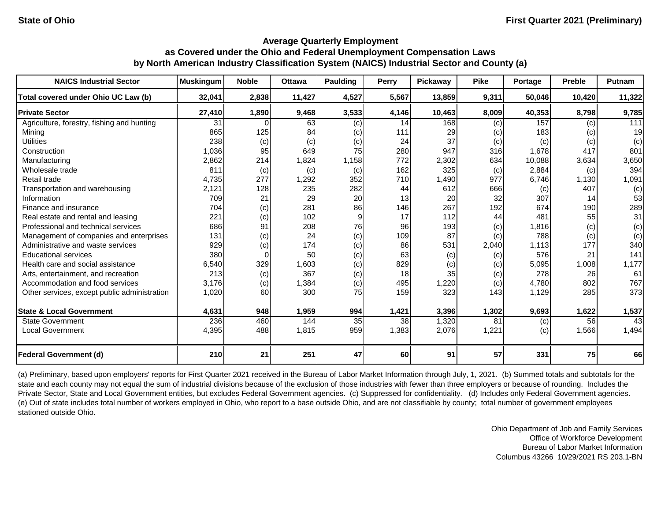| <b>NAICS Industrial Sector</b>               | <b>Muskingum</b> | <b>Noble</b> | <b>Ottawa</b> | Paulding | Perry | Pickaway | <b>Pike</b> | Portage | <b>Preble</b> | Putnam |
|----------------------------------------------|------------------|--------------|---------------|----------|-------|----------|-------------|---------|---------------|--------|
| Total covered under Ohio UC Law (b)          | 32,041           | 2,838        | 11,427        | 4,527    | 5,567 | 13,859   | 9,311       | 50,046  | 10,420        | 11,322 |
| <b>Private Sector</b>                        | 27,410           | 1,890        | 9,468         | 3,533    | 4,146 | 10,463   | 8,009       | 40,353  | 8,798         | 9,785  |
| Agriculture, forestry, fishing and hunting   | 31               |              | 63            | (c)      | 14    | 168      | (c)         | 157     | (c)           | 111    |
| Mining                                       | 865              | 125          | 84            | (c)      | 111   | 29       | (c)         | 183     | (c)           | 19     |
| <b>Utilities</b>                             | 238              | (c)          | (c)           | (c)      | 24    | 37       | (c)         | (c)     | (c)           | (c)    |
| Construction                                 | 1,036            | 95           | 649           | 75       | 280   | 947      | 316         | 1,678   | 417           | 801    |
| Manufacturing                                | 2,862            | 214          | 1,824         | 1,158    | 772   | 2,302    | 634         | 10,088  | 3,634         | 3,650  |
| Wholesale trade                              | 811              | (c)          | (c)           | (c)      | 162   | 325      | (c)         | 2,884   | (c)           | 394    |
| Retail trade                                 | 4,735            | 277          | ,292          | 352      | 710   | 1,490    | 977         | 6,746   | 1,130         | 1,091  |
| Transportation and warehousing               | 2,121            | 128          | 235           | 282      | 44    | 612      | 666         | (c)     | 407           | (c)    |
| Information                                  | 709              | 21           | 29            | 20       | 13    | 20       | 32          | 307     | 14            | 53     |
| Finance and insurance                        | 704              | (c)          | 281           | 86       | 146   | 267      | 192         | 674     | 190           | 289    |
| Real estate and rental and leasing           | 221              | (c)          | 102           | 9        | 17    | 112      | 44          | 481     | 55            | 31     |
| Professional and technical services          | 686              | 91           | 208           | 76       | 96    | 193      | (c)         | 1,816   | (c)           | (c)    |
| Management of companies and enterprises      | 131              | (c)          | 24            | (c)      | 109   | 87       | (c)         | 788     | (c)           | (c)    |
| Administrative and waste services            | 929              | (c)          | 174           | (c)      | 86    | 531      | 2,040       | 1.113   | 177           | 340    |
| <b>Educational services</b>                  | 380              |              | 50            | (c)      | 63    | (c)      | (c)         | 576     | 21            | 141    |
| Health care and social assistance            | 6,540            | 329          | 1,603         | (c)      | 829   | (c)      | (c)         | 5,095   | 1,008         | 1,177  |
| Arts, entertainment, and recreation          | 213              | (c)          | 367           | (c)      | 18    | 35       | (c)         | 278     | 26            | 61     |
| Accommodation and food services              | 3,176            | (c)          | 1,384         | (c)      | 495   | 1,220    | (c)         | 4,780   | 802           | 767    |
| Other services, except public administration | 1,020            | 60           | 300           | 75       | 159   | 323      | 143         | 1,129   | 285           | 373    |
| <b>State &amp; Local Government</b>          | 4,631            | 948          | 1,959         | 994      | 1,421 | 3,396    | 1,302       | 9,693   | 1,622         | 1,537  |
| <b>State Government</b>                      | 236              | 460          | 144           | 35       | 38    | 1,320    | 81          | (c)     | 56            | 43     |
| Local Government                             | 4,395            | 488          | 1,815         | 959      | 1,383 | 2,076    | 1,221       | (c)     | 1,566         | 1,494  |
| <b>Federal Government (d)</b>                | 210              | 21           | 251           | 47       | 60    | 91       | 57          | 331     | 75            | 66     |

(a) Preliminary, based upon employers' reports for First Quarter 2021 received in the Bureau of Labor Market Information through July, 1, 2021. (b) Summed totals and subtotals for the state and each county may not equal the sum of industrial divisions because of the exclusion of those industries with fewer than three employers or because of rounding. Includes the Private Sector, State and Local Government entities, but excludes Federal Government agencies. (c) Suppressed for confidentiality. (d) Includes only Federal Government agencies. (e) Out of state includes total number of workers employed in Ohio, who report to a base outside Ohio, and are not classifiable by county; total number of government employees stationed outside Ohio.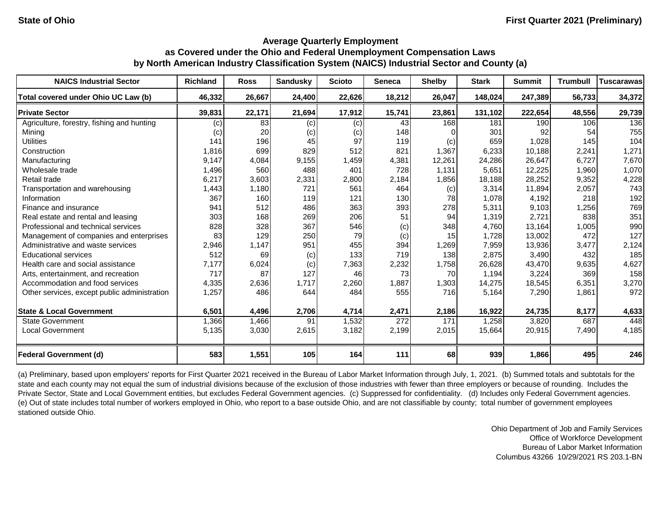| <b>NAICS Industrial Sector</b>               | <b>Richland</b> | <b>Ross</b> | <b>Sandusky</b> | <b>Scioto</b> | <b>Seneca</b> | <b>Shelby</b>   | <b>Stark</b> | <b>Summit</b> | <b>Trumbull</b> | Tuscarawas |
|----------------------------------------------|-----------------|-------------|-----------------|---------------|---------------|-----------------|--------------|---------------|-----------------|------------|
| Total covered under Ohio UC Law (b)          | 46,332          | 26,667      | 24,400          | 22,626        | 18,212        | 26,047          | 148,024      | 247,389       | 56,733          | 34,372     |
| <b>Private Sector</b>                        | 39,831          | 22,171      | 21,694          | 17,912        | 15,741        | 23,861          | 131,102      | 222,654       | 48,556          | 29,739     |
| Agriculture, forestry, fishing and hunting   | (c)             | 83          | (c)             | (c)           | 43            | 168             | 181          | 190           | 106             | 136        |
| Mining                                       | (c)             | 20          | (c)             | (c)           | 148           |                 | 301          | 92            | 54              | 755        |
| <b>Utilities</b>                             | 141             | 196         | 45              | 97            | 119           | (c)             | 659          | 1,028         | 145             | 104        |
| Construction                                 | 1,816           | 699         | 829             | 512           | 821           | 1,367           | 6,233        | 10,188        | 2,241           | 1,271      |
| Manufacturing                                | 9,147           | 4,084       | 9,155           | 1,459         | 4,381         | 12,261          | 24,286       | 26,647        | 6,727           | 7,670      |
| Wholesale trade                              | 1,496           | 560         | 488             | 401           | 728           | 1,131           | 5,651        | 12,225        | 1,960           | 1,070      |
| Retail trade                                 | 6,217           | 3,603       | 2,331           | 2,800         | 2,184         | 1,856           | 18,188       | 28,252        | 9,352           | 4,228      |
| Transportation and warehousing               | 1,443           | 1,180       | 721             | 561           | 464           | (c)             | 3,314        | 11,894        | 2,057           | 743        |
| Information                                  | 367             | 160         | 119             | 121           | 130           | 78              | 1,078        | 4,192         | 218             | 192        |
| Finance and insurance                        | 941             | 512         | 486             | 363           | 393           | 278             | 5,311        | 9,103         | 1,256           | 769        |
| Real estate and rental and leasing           | 303             | 168         | 269             | 206           | 51            | 94              | 1,319        | 2,721         | 838             | 351        |
| Professional and technical services          | 828             | 328         | 367             | 546           | (c)           | 348             | 4,760        | 13,164        | 1,005           | 990        |
| Management of companies and enterprises      | 83              | 129         | 250             | 79            | (c)           | 15 <sup>1</sup> | 1,728        | 13,002        | 472             | 127        |
| Administrative and waste services            | 2,946           | 1,147       | 951             | 455           | 394           | 1,269           | 7,959        | 13,936        | 3,477           | 2,124      |
| <b>Educational services</b>                  | 512             | 69          | (c)             | 133           | 719           | 138             | 2,875        | 3,490         | 432             | 185        |
| Health care and social assistance            | 7,177           | 6,024       | (c)             | 7,363         | 2,232         | 1,758           | 26,628       | 43,470        | 9,635           | 4,627      |
| Arts, entertainment, and recreation          | 717             | 87          | 127             | 46            | 73            | 70              | 1,194        | 3,224         | 369             | 158        |
| Accommodation and food services              | 4,335           | 2,636       | 1,717           | 2,260         | 1,887         | 1,303           | 14,275       | 18,545        | 6,351           | 3,270      |
| Other services, except public administration | 1,257           | 486         | 644             | 484           | 555           | 716             | 5,164        | 7,290         | 1,861           | 972        |
| <b>State &amp; Local Government</b>          | 6,501           | 4,496       | 2,706           | 4,714         | 2,471         | 2,186           | 16,922       | 24,735        | 8,177           | 4,633      |
| <b>State Government</b>                      | 1,366           | 1,466       | 91              | 1,532         | 272           | 171             | 1,258        | 3,820         | 687             | 448        |
| Local Government                             | 5,135           | 3,030       | 2,615           | 3,182         | 2,199         | 2,015           | 15,664       | 20,915        | 7,490           | 4,185      |
| <b>Federal Government (d)</b>                | 583             | 1,551       | 105             | 164           | 111           | 68              | 939          | 1,866         | 495             | 246        |

(a) Preliminary, based upon employers' reports for First Quarter 2021 received in the Bureau of Labor Market Information through July, 1, 2021. (b) Summed totals and subtotals for the state and each county may not equal the sum of industrial divisions because of the exclusion of those industries with fewer than three employers or because of rounding. Includes the Private Sector, State and Local Government entities, but excludes Federal Government agencies. (c) Suppressed for confidentiality. (d) Includes only Federal Government agencies. (e) Out of state includes total number of workers employed in Ohio, who report to a base outside Ohio, and are not classifiable by county; total number of government employees stationed outside Ohio.